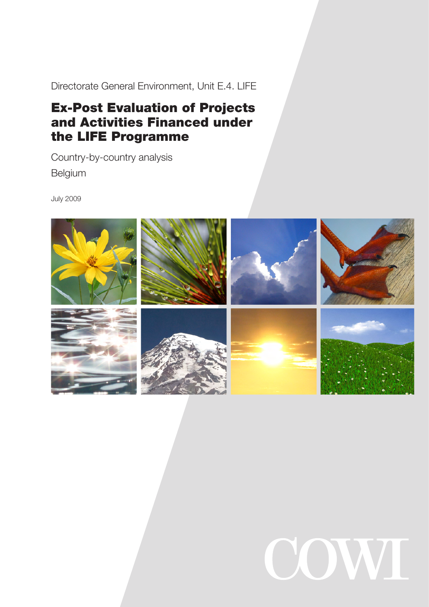Directorate General Environment, Unit E.4. LIFE

# Ex-Post Evaluation of Projects and Activities Financed under the LIFE Programme

Country-by-country analysis Belgium

July 2009



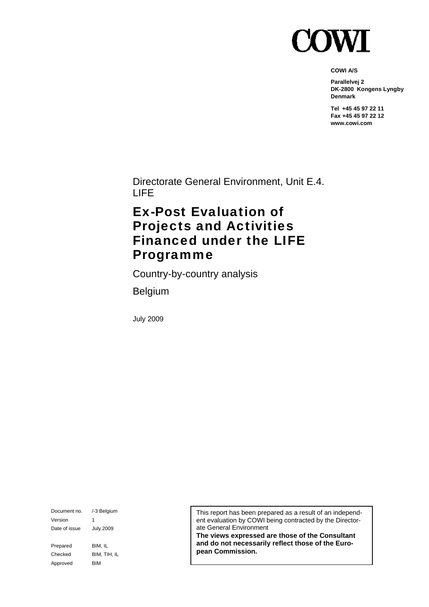

**COWI A/S** 

**Parallelvej 2 DK-2800 Kongens Lyngby Denmark** 

**Tel +45 45 97 22 11 Fax +45 45 97 22 12 www.cowi.com** 

Directorate General Environment, Unit E.4. LIFE

# Ex-Post Evaluation of Projects and Activities Financed under the LIFE Programme

Country-by-country analysis

Belgium

July 2009

Document no. /-3 Belgium Version 1 Date of issue July.2009 Prepared BIM, IL Checked BIM, TIH, IL Approved BIM

This report has been prepared as a result of an independent evaluation by COWI being contracted by the Directorate General Environment

**The views expressed are those of the Consultant and do not necessarily reflect those of the European Commission.**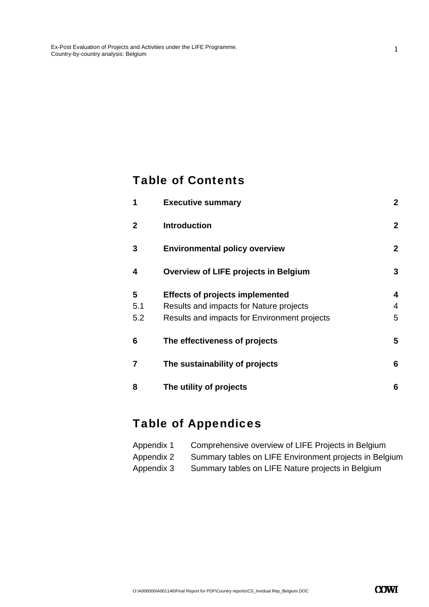### Table of Contents

| 1              | <b>Executive summary</b>                     | $\mathbf{2}$ |
|----------------|----------------------------------------------|--------------|
| $\mathbf{2}$   | <b>Introduction</b>                          | $\mathbf{2}$ |
| 3              | <b>Environmental policy overview</b>         | $\mathbf{2}$ |
| 4              | <b>Overview of LIFE projects in Belgium</b>  | 3            |
| 5              | <b>Effects of projects implemented</b>       | 4            |
| 5.1            | Results and impacts for Nature projects      | 4            |
| 5.2            | Results and impacts for Environment projects | 5            |
| 6              | The effectiveness of projects                | 5            |
| $\overline{7}$ | The sustainability of projects               | 6            |
| 8              | The utility of projects                      | 6            |

## Table of Appendices

| Appendix 1 | Comprehensive overview of LIFE Projects in Belgium     |
|------------|--------------------------------------------------------|
| Appendix 2 | Summary tables on LIFE Environment projects in Belgium |
| Appendix 3 | Summary tables on LIFE Nature projects in Belgium      |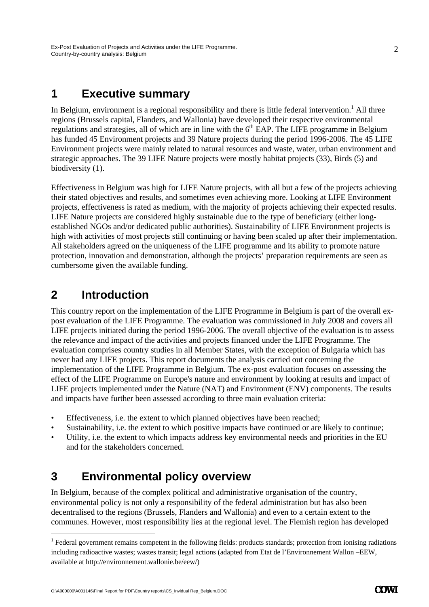### **1 Executive summary**

In Belgium, environment is a regional responsibility and there is little federal intervention.<sup>1</sup> All three regions (Brussels capital, Flanders, and Wallonia) have developed their respective environmental regulations and strategies, all of which are in line with the  $6<sup>th</sup>$  EAP. The LIFE programme in Belgium has funded 45 Environment projects and 39 Nature projects during the period 1996-2006. The 45 LIFE Environment projects were mainly related to natural resources and waste, water, urban environment and strategic approaches. The 39 LIFE Nature projects were mostly habitat projects (33), Birds (5) and biodiversity  $(1)$ .

Effectiveness in Belgium was high for LIFE Nature projects, with all but a few of the projects achieving their stated objectives and results, and sometimes even achieving more. Looking at LIFE Environment projects, effectiveness is rated as medium, with the majority of projects achieving their expected results. LIFE Nature projects are considered highly sustainable due to the type of beneficiary (either longestablished NGOs and/or dedicated public authorities). Sustainability of LIFE Environment projects is high with activities of most projects still continuing or having been scaled up after their implementation. All stakeholders agreed on the uniqueness of the LIFE programme and its ability to promote nature protection, innovation and demonstration, although the projects' preparation requirements are seen as cumbersome given the available funding.

### **2 Introduction**

-

This country report on the implementation of the LIFE Programme in Belgium is part of the overall expost evaluation of the LIFE Programme. The evaluation was commissioned in July 2008 and covers all LIFE projects initiated during the period 1996-2006. The overall objective of the evaluation is to assess the relevance and impact of the activities and projects financed under the LIFE Programme. The evaluation comprises country studies in all Member States, with the exception of Bulgaria which has never had any LIFE projects. This report documents the analysis carried out concerning the implementation of the LIFE Programme in Belgium. The ex-post evaluation focuses on assessing the effect of the LIFE Programme on Europe's nature and environment by looking at results and impact of LIFE projects implemented under the Nature (NAT) and Environment (ENV) components. The results and impacts have further been assessed according to three main evaluation criteria:

- Effectiveness, i.e. the extent to which planned objectives have been reached;
- Sustainability, i.e. the extent to which positive impacts have continued or are likely to continue;
- Utility, i.e. the extent to which impacts address key environmental needs and priorities in the EU and for the stakeholders concerned.

### **3 Environmental policy overview**

In Belgium, because of the complex political and administrative organisation of the country, environmental policy is not only a responsibility of the federal administration but has also been decentralised to the regions (Brussels, Flanders and Wallonia) and even to a certain extent to the communes. However, most responsibility lies at the regional level. The Flemish region has developed

 $<sup>1</sup>$  Federal government remains competent in the following fields: products standards; protection from ionising radiations</sup> including radioactive wastes; wastes transit; legal actions (adapted from Etat de l'Environnement Wallon –EEW, available at http://environnement.wallonie.be/eew/)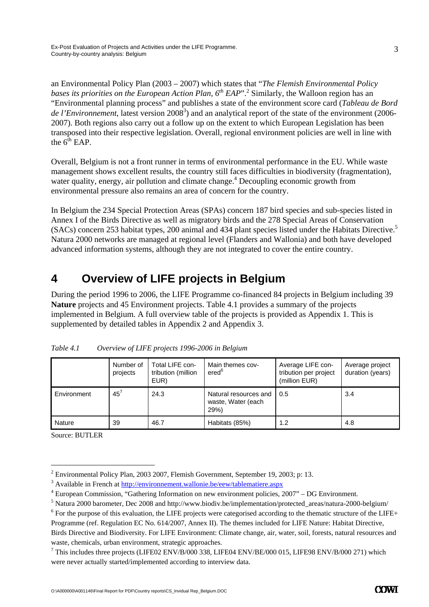an Environmental Policy Plan (2003 – 2007) which states that "*The Flemish Environmental Policy*  bases its priorities on the European Action Plan, 6<sup>th</sup> EAP".<sup>2</sup> Similarly, the Walloon region has an "Environmental planning process" and publishes a state of the environment score card (*Tableau de Bord*  de *l'Environnement*, latest version 2008<sup>3</sup>) and an analytical report of the state of the environment (2006-2007). Both regions also carry out a follow up on the extent to which European Legislation has been transposed into their respective legislation. Overall, regional environment policies are well in line with the  $6^{th}$  EAP.

Overall, Belgium is not a front runner in terms of environmental performance in the EU. While waste management shows excellent results, the country still faces difficulties in biodiversity (fragmentation), water quality, energy, air pollution and climate change.<sup>4</sup> Decoupling economic growth from environmental pressure also remains an area of concern for the country.

In Belgium the 234 Special Protection Areas (SPAs) concern 187 bird species and sub-species listed in Annex I of the Birds Directive as well as migratory birds and the 278 Special Areas of Conservation (SACs) concern 253 habitat types, 200 animal and 434 plant species listed under the Habitats Directive.5 Natura 2000 networks are managed at regional level (Flanders and Wallonia) and both have developed advanced information systems, although they are not integrated to cover the entire country.

## **4 Overview of LIFE projects in Belgium**

During the period 1996 to 2006, the LIFE Programme co-financed 84 projects in Belgium including 39 **Nature** projects and 45 Environment projects. Table 4.1 provides a summary of the projects implemented in Belgium. A full overview table of the projects is provided as Appendix 1. This is supplemented by detailed tables in Appendix 2 and Appendix 3.

|             | Number of<br>projects | Total LIFE con-<br>tribution (million<br>EUR) | Main themes cov-<br>ered <sup>6</sup>              | Average LIFE con-<br>tribution per project<br>(million EUR) | Average project<br>duration (years) |
|-------------|-----------------------|-----------------------------------------------|----------------------------------------------------|-------------------------------------------------------------|-------------------------------------|
| Environment | $45^7$                | 24.3                                          | Natural resources and<br>waste, Water (each<br>29% | 0.5                                                         | 3.4                                 |
| Nature      | 39                    | 46.7                                          | Habitats (85%)                                     | 1.2                                                         | 4.8                                 |

*Table 4.1 Overview of LIFE projects 1996-2006 in Belgium* 

Source: BUTLER

 $\overline{a}$ 

3

<sup>&</sup>lt;sup>2</sup> Environmental Policy Plan, 2003 2007, Flemish Government, September 19, 2003; p: 13.

 $3$  Available in French at  $\underline{http://environment.wallonie.be/eew/tablematiere.aspx}_{4$  European Commission "Cothoring Information on now environment policies 2

European Commission, "Gathering Information on new environment policies, 2007" – DG Environment.

<sup>&</sup>lt;sup>5</sup> Natura 2000 barometer, Dec 2008 and http://www.biodiv.be/implementation/protected\_areas/natura-2000-belgium/  $\frac{6}{100}$  For the numbers of the LUE are interesting to the state of the LUE are stated associated associa

 $<sup>6</sup>$  For the purpose of this evaluation, the LIFE projects were categorised according to the thematic structure of the LIFE+</sup> Programme (ref. Regulation EC No. 614/2007, Annex II). The themes included for LIFE Nature: Habitat Directive, Birds Directive and Biodiversity. For LIFE Environment: Climate change, air, water, soil, forests, natural resources and waste, chemicals, urban environment, strategic approaches.

 $7$  This includes three projects (LIFE02 ENV/B/000 338, LIFE04 ENV/BE/000 015, LIFE98 ENV/B/000 271) which were never actually started/implemented according to interview data.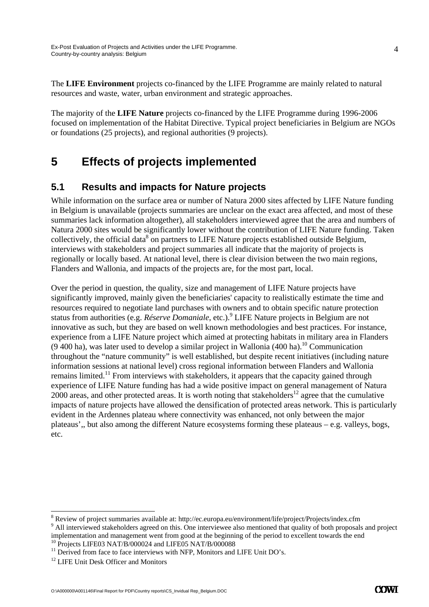The **LIFE Environment** projects co-financed by the LIFE Programme are mainly related to natural resources and waste, water, urban environment and strategic approaches.

The majority of the **LIFE Nature** projects co-financed by the LIFE Programme during 1996-2006 focused on implementation of the Habitat Directive. Typical project beneficiaries in Belgium are NGOs or foundations (25 projects), and regional authorities (9 projects).

## **5 Effects of projects implemented**

### **5.1 Results and impacts for Nature projects**

While information on the surface area or number of Natura 2000 sites affected by LIFE Nature funding in Belgium is unavailable (projects summaries are unclear on the exact area affected, and most of these summaries lack information altogether), all stakeholders interviewed agree that the area and numbers of Natura 2000 sites would be significantly lower without the contribution of LIFE Nature funding. Taken collectively, the official data<sup>8</sup> on partners to LIFE Nature projects established outside Belgium, interviews with stakeholders and project summaries all indicate that the majority of projects is regionally or locally based. At national level, there is clear division between the two main regions, Flanders and Wallonia, and impacts of the projects are, for the most part, local.

Over the period in question, the quality, size and management of LIFE Nature projects have significantly improved, mainly given the beneficiaries' capacity to realistically estimate the time and resources required to negotiate land purchases with owners and to obtain specific nature protection status from authorities (e.g. *Réserve Domaniale*, etc.).<sup>9</sup> LIFE Nature projects in Belgium are not innovative as such, but they are based on well known methodologies and best practices. For instance, experience from a LIFE Nature project which aimed at protecting habitats in military area in Flanders  $(9\,400\text{ ha})$ , was later used to develop a similar project in Wallonia (400 ha).<sup>10</sup> Communication throughout the "nature community" is well established, but despite recent initiatives (including nature information sessions at national level) cross regional information between Flanders and Wallonia remains limited.11 From interviews with stakeholders, it appears that the capacity gained through experience of LIFE Nature funding has had a wide positive impact on general management of Natura  $2000$  areas, and other protected areas. It is worth noting that stakeholders<sup>12</sup> agree that the cumulative impacts of nature projects have allowed the densification of protected areas network. This is particularly evident in the Ardennes plateau where connectivity was enhanced, not only between the major plateaus',, but also among the different Nature ecosystems forming these plateaus – e.g. valleys, bogs, etc.

-

 $\frac{8}{3}$  Review of project summaries available at: http://ec.europa.eu/environment/life/project/Projects/index.cfm  $\frac{9}{3}$  All interviewed atel able belong agreed on this. One interviewed also mentioned that quality of

<sup>&</sup>lt;sup>9</sup> All interviewed stakeholders agreed on this. One interviewee also mentioned that quality of both proposals and project implementation and management went from good at the beginning of the period to excellent towards the end  $10$  Projects LIFE03 NAT/B/000024 and LIFE05 NAT/B/000088

<sup>&</sup>lt;sup>11</sup> Derived from face to face interviews with NFP, Monitors and LIFE Unit DO's.<br><sup>12</sup> LIFE Unit Desk Officer and Monitors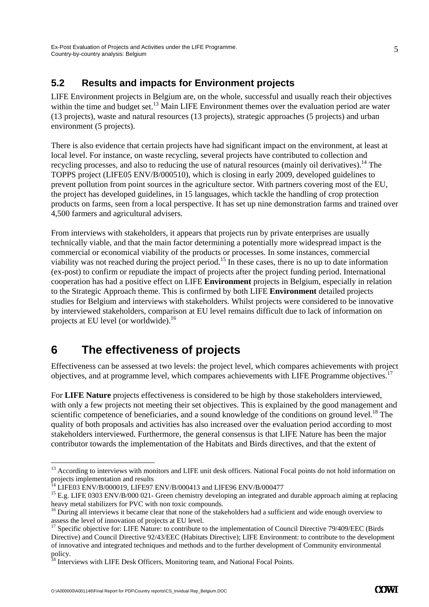### **5.2 Results and impacts for Environment projects**

LIFE Environment projects in Belgium are, on the whole, successful and usually reach their objectives within the time and budget set.<sup>13</sup> Main LIFE Environment themes over the evaluation period are water (13 projects), waste and natural resources (13 projects), strategic approaches (5 projects) and urban environment (5 projects).

There is also evidence that certain projects have had significant impact on the environment, at least at local level. For instance, on waste recycling, several projects have contributed to collection and recycling processes, and also to reducing the use of natural resources (mainly oil derivatives).<sup>14</sup> The TOPPS project (LIFE05 ENV/B/000510), which is closing in early 2009, developed guidelines to prevent pollution from point sources in the agriculture sector. With partners covering most of the EU, the project has developed guidelines, in 15 languages, which tackle the handling of crop protection products on farms, seen from a local perspective. It has set up nine demonstration farms and trained over 4,500 farmers and agricultural advisers.

From interviews with stakeholders, it appears that projects run by private enterprises are usually technically viable, and that the main factor determining a potentially more widespread impact is the commercial or economical viability of the products or processes. In some instances, commercial viability was not reached during the project period.<sup>15</sup> In these cases, there is no up to date information (ex-post) to confirm or repudiate the impact of projects after the project funding period. International cooperation has had a positive effect on LIFE **Environment** projects in Belgium, especially in relation to the Strategic Approach theme. This is confirmed by both LIFE **Environment** detailed projects studies for Belgium and interviews with stakeholders. Whilst projects were considered to be innovative by interviewed stakeholders, comparison at EU level remains difficult due to lack of information on projects at EU level (or worldwide).16

## **6 The effectiveness of projects**

Effectiveness can be assessed at two levels: the project level, which compares achievements with project objectives, and at programme level, which compares achievements with LIFE Programme objectives.17

For **LIFE Nature** projects effectiveness is considered to be high by those stakeholders interviewed, with only a few projects not meeting their set objectives. This is explained by the good management and scientific competence of beneficiaries, and a sound knowledge of the conditions on ground level.<sup>18</sup> The quality of both proposals and activities has also increased over the evaluation period according to most stakeholders interviewed. Furthermore, the general consensus is that LIFE Nature has been the major contributor towards the implementation of the Habitats and Birds directives, and that the extent of

-

5

<sup>&</sup>lt;sup>13</sup> According to interviews with monitors and LIFE unit desk officers. National Focal points do not hold information on projects implementation and results

 $14$  LIFE03 ENV/B/000019, LIFE97 ENV/B/000413 and LIFE96 ENV/B/000477

<sup>&</sup>lt;sup>15</sup> E.g. LIFE 0303 ENV/B/000 021- Green chemistry developing an integrated and durable approach aiming at replacing heavy metal stabilizers for PVC with non toxic compounds.<br><sup>16</sup> During all interviews it became clear that none of the stakeholders had a sufficient and wide enough overview to

assess the level of innovation of projects at EU level.

<sup>&</sup>lt;sup>17</sup> Specific objective for: LIFE Nature: to contribute to the implementation of Council Directive 79/409/EEC (Birds Directive) and Council Directive 92/43/EEC (Habitats Directive); LIFE Environment: to contribute to the development of innovative and integrated techniques and methods and to the further development of Community environmental policy.

 $^{18}$  Interviews with LIFE Desk Officers, Monitoring team, and National Focal Points.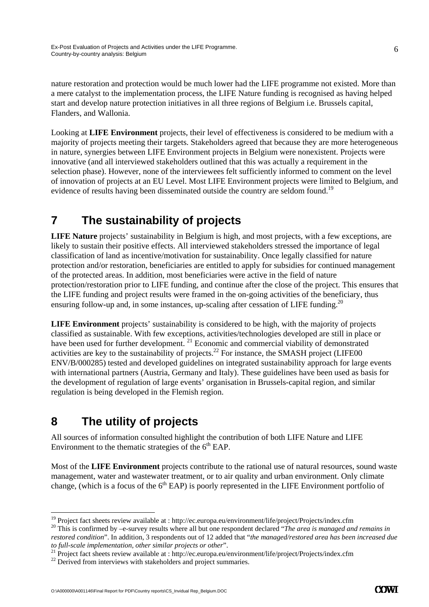nature restoration and protection would be much lower had the LIFE programme not existed. More than a mere catalyst to the implementation process, the LIFE Nature funding is recognised as having helped start and develop nature protection initiatives in all three regions of Belgium i.e. Brussels capital, Flanders, and Wallonia.

Looking at **LIFE Environment** projects, their level of effectiveness is considered to be medium with a majority of projects meeting their targets. Stakeholders agreed that because they are more heterogeneous in nature, synergies between LIFE Environment projects in Belgium were nonexistent. Projects were innovative (and all interviewed stakeholders outlined that this was actually a requirement in the selection phase). However, none of the interviewees felt sufficiently informed to comment on the level of innovation of projects at an EU Level. Most LIFE Environment projects were limited to Belgium, and evidence of results having been disseminated outside the country are seldom found.<sup>19</sup>

# **7 The sustainability of projects**

**LIFE Nature** projects' sustainability in Belgium is high, and most projects, with a few exceptions, are likely to sustain their positive effects. All interviewed stakeholders stressed the importance of legal classification of land as incentive/motivation for sustainability. Once legally classified for nature protection and/or restoration, beneficiaries are entitled to apply for subsidies for continued management of the protected areas. In addition, most beneficiaries were active in the field of nature protection/restoration prior to LIFE funding, and continue after the close of the project. This ensures that the LIFE funding and project results were framed in the on-going activities of the beneficiary, thus ensuring follow-up and, in some instances, up-scaling after cessation of LIFE funding.<sup>20</sup>

**LIFE Environment** projects' sustainability is considered to be high, with the majority of projects classified as sustainable. With few exceptions, activities/technologies developed are still in place or have been used for further development.<sup>21</sup> Economic and commercial viability of demonstrated activities are key to the sustainability of projects.<sup>22</sup> For instance, the SMASH project (LIFE00) ENV/B/000285) tested and developed guidelines on integrated sustainability approach for large events with international partners (Austria, Germany and Italy). These guidelines have been used as basis for the development of regulation of large events' organisation in Brussels-capital region, and similar regulation is being developed in the Flemish region.

# **8 The utility of projects**

All sources of information consulted highlight the contribution of both LIFE Nature and LIFE Environment to the thematic strategies of the  $6<sup>th</sup>$  EAP.

Most of the **LIFE Environment** projects contribute to the rational use of natural resources, sound waste management, water and wastewater treatment, or to air quality and urban environment. Only climate change, (which is a focus of the  $6<sup>th</sup>$  EAP) is poorly represented in the LIFE Environment portfolio of

<sup>&</sup>lt;sup>19</sup> Project fact sheets review available at : http://ec.europa.eu/environment/life/project/Projects/index.cfm

<sup>&</sup>lt;sup>20</sup> This is confirmed by  $-e$ -survey results where all but one respondent declared "The area is managed and remains in *restored condition*". In addition, 3 respondents out of 12 added that "*the managed/restored area has been increased due* 

to full-scale implementation, other similar projects or other".<br><sup>21</sup> Project fact sheets review available at : http://ec.europa.eu/environment/life/project/Projects/index.cfm<br><sup>22</sup> Derived from interviews with stakeholders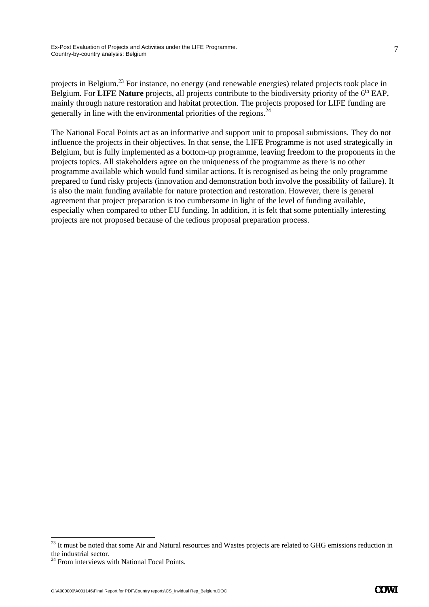7

projects in Belgium.23 For instance, no energy (and renewable energies) related projects took place in Belgium. For **LIFE Nature** projects, all projects contribute to the biodiversity priority of the 6<sup>th</sup> EAP, mainly through nature restoration and habitat protection. The projects proposed for LIFE funding are generally in line with the environmental priorities of the regions.  $24$ 

The National Focal Points act as an informative and support unit to proposal submissions. They do not influence the projects in their objectives. In that sense, the LIFE Programme is not used strategically in Belgium, but is fully implemented as a bottom-up programme, leaving freedom to the proponents in the projects topics. All stakeholders agree on the uniqueness of the programme as there is no other programme available which would fund similar actions. It is recognised as being the only programme prepared to fund risky projects (innovation and demonstration both involve the possibility of failure). It is also the main funding available for nature protection and restoration. However, there is general agreement that project preparation is too cumbersome in light of the level of funding available, especially when compared to other EU funding. In addition, it is felt that some potentially interesting projects are not proposed because of the tedious proposal preparation process.

-

<sup>&</sup>lt;sup>23</sup> It must be noted that some Air and Natural resources and Wastes projects are related to GHG emissions reduction in the industrial sector.

<sup>&</sup>lt;sup>24</sup> From interviews with National Focal Points.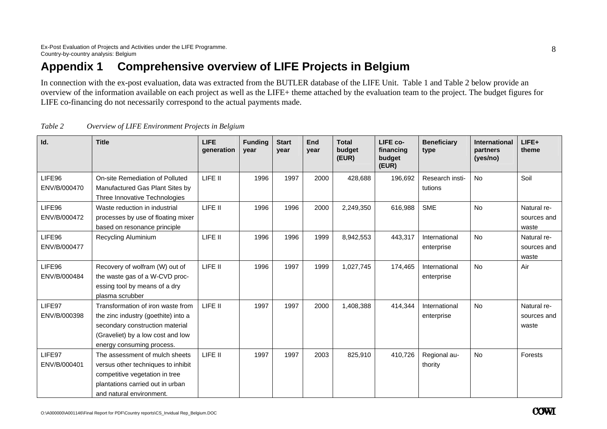## **Appendix 1 Comprehensive overview of LIFE Projects in Belgium**

In connection with the ex-post evaluation, data was extracted from the BUTLER database of the LIFE Unit. Table 1 and Table 2 below provide an overview of the information available on each project as well as the LIFE+ theme attached by the evaluation team to the project. The budget figures for LIFE co-financing do not necessarily correspond to the actual payments made.

| Id.                    | <b>Title</b>                                                                                                                                                                  | <b>LIFE</b><br>generation | <b>Funding</b><br>year | <b>Start</b><br>year | End<br>year | <b>Total</b><br>budget<br>(EUR) | LIFE co-<br>financing<br>budget<br>(EUR) | <b>Beneficiary</b><br>type  | <b>International</b><br>partners<br>(yes/no) | LIFE+<br>theme                      |
|------------------------|-------------------------------------------------------------------------------------------------------------------------------------------------------------------------------|---------------------------|------------------------|----------------------|-------------|---------------------------------|------------------------------------------|-----------------------------|----------------------------------------------|-------------------------------------|
| LIFE96<br>ENV/B/000470 | On-site Remediation of Polluted<br>Manufactured Gas Plant Sites by<br>Three Innovative Technologies                                                                           | LIFE II                   | 1996                   | 1997                 | 2000        | 428,688                         | 196,692                                  | Research insti-<br>tutions  | <b>No</b>                                    | Soil                                |
| LIFE96<br>ENV/B/000472 | Waste reduction in industrial<br>processes by use of floating mixer<br>based on resonance principle                                                                           | LIFE II                   | 1996                   | 1996                 | 2000        | 2,249,350                       | 616,988                                  | <b>SME</b>                  | <b>No</b>                                    | Natural re-<br>sources and<br>waste |
| LIFE96<br>ENV/B/000477 | <b>Recycling Aluminium</b>                                                                                                                                                    | LIFE II                   | 1996                   | 1996                 | 1999        | 8,942,553                       | 443,317                                  | International<br>enterprise | <b>No</b>                                    | Natural re-<br>sources and<br>waste |
| LIFE96<br>ENV/B/000484 | Recovery of wolfram (W) out of<br>the waste gas of a W-CVD proc-<br>essing tool by means of a dry<br>plasma scrubber                                                          | LIFE II                   | 1996                   | 1997                 | 1999        | 1,027,745                       | 174,465                                  | International<br>enterprise | <b>No</b>                                    | Air                                 |
| LIFE97<br>ENV/B/000398 | Transformation of iron waste from<br>the zinc industry (goethite) into a<br>secondary construction material<br>(Graveliet) by a low cost and low<br>energy consuming process. | LIFE II                   | 1997                   | 1997                 | 2000        | 1,408,388                       | 414,344                                  | International<br>enterprise | No                                           | Natural re-<br>sources and<br>waste |
| LIFE97<br>ENV/B/000401 | The assessment of mulch sheets<br>versus other techniques to inhibit<br>competitive vegetation in tree<br>plantations carried out in urban<br>and natural environment.        | LIFE II                   | 1997                   | 1997                 | 2003        | 825,910                         | 410,726                                  | Regional au-<br>thority     | No                                           | Forests                             |

| Table 2 | Overview of LIFE Environment Projects in Belgium |  |
|---------|--------------------------------------------------|--|
|         |                                                  |  |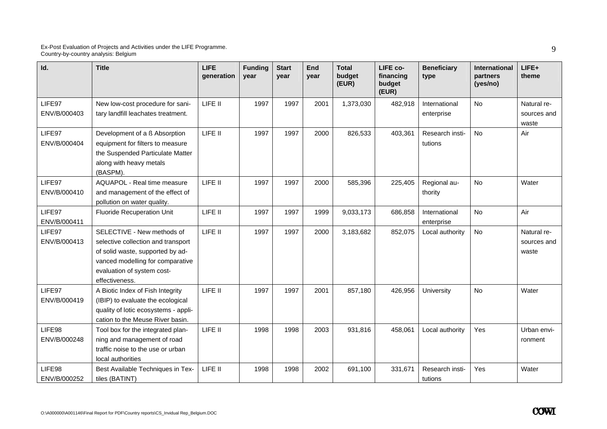| Id.          | <b>Title</b>                         | <b>LIFE</b><br>generation | <b>Funding</b><br>year | <b>Start</b><br>year | End<br>vear | <b>Total</b><br>budget<br>(EUR) | LIFE co-<br>financing<br>budget<br>(EUR) | <b>Beneficiary</b><br>type | International<br>partners<br>(yes/no) | $LIFE+$<br>theme |
|--------------|--------------------------------------|---------------------------|------------------------|----------------------|-------------|---------------------------------|------------------------------------------|----------------------------|---------------------------------------|------------------|
| LIFE97       | New low-cost procedure for sani-     | LIFE II                   | 1997                   | 1997                 | 2001        | 1,373,030                       | 482,918                                  | International              | <b>No</b>                             | Natural re-      |
| ENV/B/000403 | tary landfill leachates treatment.   |                           |                        |                      |             |                                 |                                          | enterprise                 |                                       | sources and      |
|              |                                      |                           |                        |                      |             |                                 |                                          |                            |                                       | waste            |
| LIFE97       | Development of a ß Absorption        | LIFE II                   | 1997                   | 1997                 | 2000        | 826,533                         | 403,361                                  | Research insti-            | <b>No</b>                             | Air              |
| ENV/B/000404 | equipment for filters to measure     |                           |                        |                      |             |                                 |                                          | tutions                    |                                       |                  |
|              | the Suspended Particulate Matter     |                           |                        |                      |             |                                 |                                          |                            |                                       |                  |
|              | along with heavy metals              |                           |                        |                      |             |                                 |                                          |                            |                                       |                  |
|              | (BASPM).                             |                           |                        |                      |             |                                 |                                          |                            |                                       |                  |
| LIFE97       | <b>AQUAPOL - Real time measure</b>   | LIFE II                   | 1997                   | 1997                 | 2000        | 585,396                         | 225,405                                  | Regional au-               | <b>No</b>                             | Water            |
| ENV/B/000410 | and management of the effect of      |                           |                        |                      |             |                                 |                                          | thority                    |                                       |                  |
|              | pollution on water quality.          |                           |                        |                      |             |                                 |                                          |                            |                                       |                  |
| LIFE97       | <b>Fluoride Recuperation Unit</b>    | LIFE II                   | 1997                   | 1997                 | 1999        | 9,033,173                       | 686,858                                  | International              | No                                    | Air              |
| ENV/B/000411 |                                      |                           |                        |                      |             |                                 |                                          | enterprise                 |                                       |                  |
| LIFE97       | SELECTIVE - New methods of           | LIFE II                   | 1997                   | 1997                 | 2000        | 3,183,682                       | 852,075                                  | Local authority            | <b>No</b>                             | Natural re-      |
| ENV/B/000413 | selective collection and transport   |                           |                        |                      |             |                                 |                                          |                            |                                       | sources and      |
|              | of solid waste, supported by ad-     |                           |                        |                      |             |                                 |                                          |                            |                                       | waste            |
|              | vanced modelling for comparative     |                           |                        |                      |             |                                 |                                          |                            |                                       |                  |
|              | evaluation of system cost-           |                           |                        |                      |             |                                 |                                          |                            |                                       |                  |
|              | effectiveness.                       |                           |                        |                      |             |                                 |                                          |                            |                                       |                  |
| LIFE97       | A Biotic Index of Fish Integrity     | LIFE II                   | 1997                   | 1997                 | 2001        | 857,180                         | 426,956                                  | University                 | No                                    | Water            |
| ENV/B/000419 | (IBIP) to evaluate the ecological    |                           |                        |                      |             |                                 |                                          |                            |                                       |                  |
|              | quality of lotic ecosystems - appli- |                           |                        |                      |             |                                 |                                          |                            |                                       |                  |
|              | cation to the Meuse River basin.     |                           |                        |                      |             |                                 |                                          |                            |                                       |                  |
| LIFE98       | Tool box for the integrated plan-    | LIFE II                   | 1998                   | 1998                 | 2003        | 931,816                         | 458,061                                  | Local authority            | Yes                                   | Urban envi-      |
| ENV/B/000248 | ning and management of road          |                           |                        |                      |             |                                 |                                          |                            |                                       | ronment          |
|              | traffic noise to the use or urban    |                           |                        |                      |             |                                 |                                          |                            |                                       |                  |
|              | local authorities                    |                           |                        |                      |             |                                 |                                          |                            |                                       |                  |
| LIFE98       | Best Available Techniques in Tex-    | LIFE II                   | 1998                   | 1998                 | 2002        | 691,100                         | 331,671                                  | Research insti-            | Yes                                   | Water            |
| ENV/B/000252 | tiles (BATINT)                       |                           |                        |                      |             |                                 |                                          | tutions                    |                                       |                  |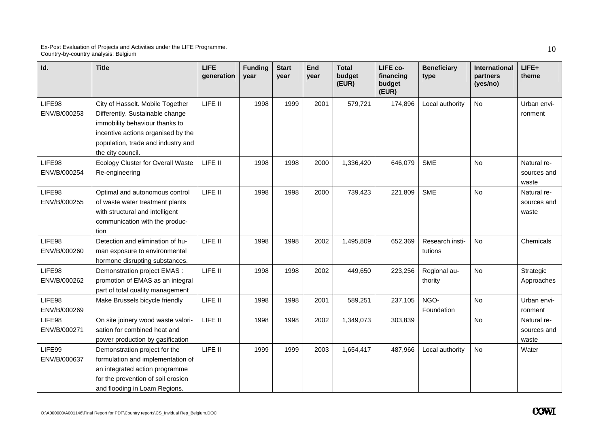| Id.                    | <b>Title</b>                                                                                                                                                                                           | <b>LIFE</b><br>generation | <b>Funding</b><br>year | <b>Start</b><br>vear | End<br>vear | <b>Total</b><br>budget<br>(EUR) | LIFE co-<br>financing<br>budget<br>(EUR) | <b>Beneficiary</b><br>type | International<br>partners<br>(yes/no) | LIFE+<br>theme                      |
|------------------------|--------------------------------------------------------------------------------------------------------------------------------------------------------------------------------------------------------|---------------------------|------------------------|----------------------|-------------|---------------------------------|------------------------------------------|----------------------------|---------------------------------------|-------------------------------------|
| LIFE98<br>ENV/B/000253 | City of Hasselt. Mobile Together<br>Differently. Sustainable change<br>immobility behaviour thanks to<br>incentive actions organised by the<br>population, trade and industry and<br>the city council. | LIFE II                   | 1998                   | 1999                 | 2001        | 579,721                         | 174,896                                  | Local authority            | No                                    | Urban envi-<br>ronment              |
| LIFE98<br>ENV/B/000254 | Ecology Cluster for Overall Waste<br>Re-engineering                                                                                                                                                    | LIFE II                   | 1998                   | 1998                 | 2000        | 1,336,420                       | 646,079                                  | <b>SME</b>                 | No                                    | Natural re-<br>sources and<br>waste |
| LIFE98<br>ENV/B/000255 | Optimal and autonomous control<br>of waste water treatment plants<br>with structural and intelligent<br>communication with the produc-<br>tion                                                         | LIFE II                   | 1998                   | 1998                 | 2000        | 739,423                         | 221,809                                  | <b>SME</b>                 | <b>No</b>                             | Natural re-<br>sources and<br>waste |
| LIFE98<br>ENV/B/000260 | Detection and elimination of hu-<br>man exposure to environmental<br>hormone disrupting substances.                                                                                                    | LIFE II                   | 1998                   | 1998                 | 2002        | 1,495,809                       | 652,369                                  | Research insti-<br>tutions | <b>No</b>                             | Chemicals                           |
| LIFE98<br>ENV/B/000262 | Demonstration project EMAS :<br>promotion of EMAS as an integral<br>part of total quality management                                                                                                   | LIFE II                   | 1998                   | 1998                 | 2002        | 449,650                         | 223,256                                  | Regional au-<br>thority    | <b>No</b>                             | Strategic<br>Approaches             |
| LIFE98<br>ENV/B/000269 | Make Brussels bicycle friendly                                                                                                                                                                         | LIFE II                   | 1998                   | 1998                 | 2001        | 589,251                         | 237,105                                  | NGO-<br>Foundation         | No                                    | Urban envi-<br>ronment              |
| LIFE98<br>ENV/B/000271 | On site joinery wood waste valori-<br>sation for combined heat and<br>power production by gasification                                                                                                 | LIFE II                   | 1998                   | 1998                 | 2002        | 1,349,073                       | 303,839                                  |                            | <b>No</b>                             | Natural re-<br>sources and<br>waste |
| LIFE99<br>ENV/B/000637 | Demonstration project for the<br>formulation and implementation of<br>an integrated action programme<br>for the prevention of soil erosion<br>and flooding in Loam Regions.                            | LIFE II                   | 1999                   | 1999                 | 2003        | 1,654,417                       | 487,966                                  | Local authority            | No                                    | Water                               |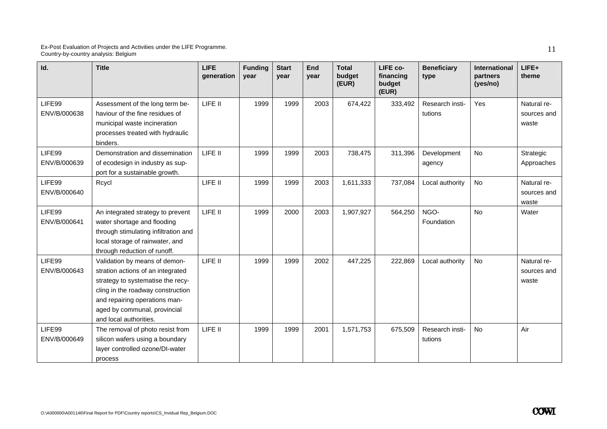| Id.                    | <b>Title</b>                                                                                                                                                                                                                            | <b>LIFE</b><br>generation | <b>Funding</b><br>year | <b>Start</b><br>year | End<br>year | <b>Total</b><br>budget<br>(EUR) | LIFE co-<br>financing<br>budget<br>(EUR) | <b>Beneficiary</b><br>type | International<br>partners<br>(yes/no) | $LIFE+$<br>theme                    |
|------------------------|-----------------------------------------------------------------------------------------------------------------------------------------------------------------------------------------------------------------------------------------|---------------------------|------------------------|----------------------|-------------|---------------------------------|------------------------------------------|----------------------------|---------------------------------------|-------------------------------------|
| LIFE99<br>ENV/B/000638 | Assessment of the long term be-<br>haviour of the fine residues of<br>municipal waste incineration<br>processes treated with hydraulic<br>binders.                                                                                      | LIFE II                   | 1999                   | 1999                 | 2003        | 674,422                         | 333,492                                  | Research insti-<br>tutions | Yes                                   | Natural re-<br>sources and<br>waste |
| LIFE99<br>ENV/B/000639 | Demonstration and dissemination<br>of ecodesign in industry as sup-<br>port for a sustainable growth.                                                                                                                                   | LIFE II                   | 1999                   | 1999                 | 2003        | 738,475                         | 311,396                                  | Development<br>agency      | No                                    | Strategic<br>Approaches             |
| LIFE99<br>ENV/B/000640 | Rcycl                                                                                                                                                                                                                                   | LIFE II                   | 1999                   | 1999                 | 2003        | 1,611,333                       | 737,084                                  | Local authority            | No                                    | Natural re-<br>sources and<br>waste |
| LIFE99<br>ENV/B/000641 | An integrated strategy to prevent<br>water shortage and flooding<br>through stimulating infiltration and<br>local storage of rainwater, and<br>through reduction of runoff.                                                             | LIFE II                   | 1999                   | 2000                 | 2003        | 1,907,927                       | 564,250                                  | NGO-<br>Foundation         | <b>No</b>                             | Water                               |
| LIFE99<br>ENV/B/000643 | Validation by means of demon-<br>stration actions of an integrated<br>strategy to systematise the recy-<br>cling in the roadway construction<br>and repairing operations man-<br>aged by communal, provincial<br>and local authorities. | LIFE II                   | 1999                   | 1999                 | 2002        | 447,225                         | 222,869                                  | Local authority            | <b>No</b>                             | Natural re-<br>sources and<br>waste |
| LIFE99<br>ENV/B/000649 | The removal of photo resist from<br>silicon wafers using a boundary<br>layer controlled ozone/DI-water<br>process                                                                                                                       | LIFE II                   | 1999                   | 1999                 | 2001        | 1,571,753                       | 675,509                                  | Research insti-<br>tutions | <b>No</b>                             | Air                                 |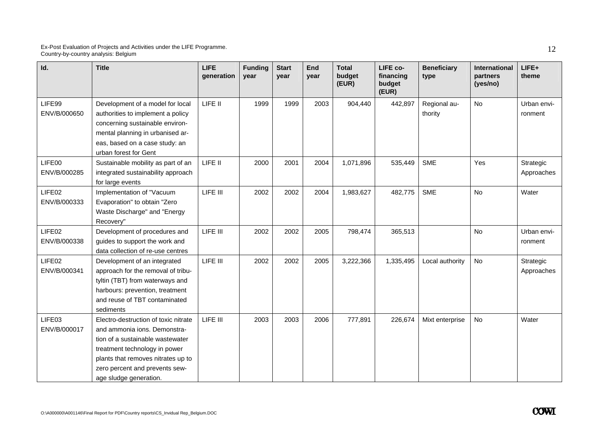| Id.                    | <b>Title</b>                                                                                                                                                                                                                                | <b>LIFE</b><br>generation | <b>Funding</b><br>vear | <b>Start</b><br>vear | End<br>year | <b>Total</b><br>budget<br>(EUR) | LIFE co-<br>financing<br>budget<br>(EUR) | <b>Beneficiary</b><br>type | International<br>partners<br>(yes/no) | LIFE+<br>theme          |
|------------------------|---------------------------------------------------------------------------------------------------------------------------------------------------------------------------------------------------------------------------------------------|---------------------------|------------------------|----------------------|-------------|---------------------------------|------------------------------------------|----------------------------|---------------------------------------|-------------------------|
| LIFE99<br>ENV/B/000650 | Development of a model for local<br>authorities to implement a policy<br>concerning sustainable environ-<br>mental planning in urbanised ar-<br>eas, based on a case study: an<br>urban forest for Gent                                     | LIFE II                   | 1999                   | 1999                 | 2003        | 904,440                         | 442,897                                  | Regional au-<br>thority    | <b>No</b>                             | Urban envi-<br>ronment  |
| LIFE00<br>ENV/B/000285 | Sustainable mobility as part of an<br>integrated sustainability approach<br>for large events                                                                                                                                                | LIFE II                   | 2000                   | 2001                 | 2004        | 1,071,896                       | 535,449                                  | <b>SME</b>                 | Yes                                   | Strategic<br>Approaches |
| LIFE02<br>ENV/B/000333 | Implementation of "Vacuum<br>Evaporation" to obtain "Zero<br>Waste Discharge" and "Energy<br>Recovery"                                                                                                                                      | LIFE III                  | 2002                   | 2002                 | 2004        | 1,983,627                       | 482,775                                  | <b>SME</b>                 | No                                    | Water                   |
| LIFE02<br>ENV/B/000338 | Development of procedures and<br>guides to support the work and<br>data collection of re-use centres                                                                                                                                        | LIFE III                  | 2002                   | 2002                 | 2005        | 798,474                         | 365,513                                  |                            | No                                    | Urban envi-<br>ronment  |
| LIFE02<br>ENV/B/000341 | Development of an integrated<br>approach for the removal of tribu-<br>tyltin (TBT) from waterways and<br>harbours: prevention, treatment<br>and reuse of TBT contaminated<br>sediments                                                      | LIFE III                  | 2002                   | 2002                 | 2005        | 3,222,366                       | 1,335,495                                | Local authority            | <b>No</b>                             | Strategic<br>Approaches |
| LIFE03<br>ENV/B/000017 | Electro-destruction of toxic nitrate<br>and ammonia ions. Demonstra-<br>tion of a sustainable wastewater<br>treatment technology in power<br>plants that removes nitrates up to<br>zero percent and prevents sew-<br>age sludge generation. | LIFE III                  | 2003                   | 2003                 | 2006        | 777,891                         | 226,674                                  | Mixt enterprise            | No                                    | Water                   |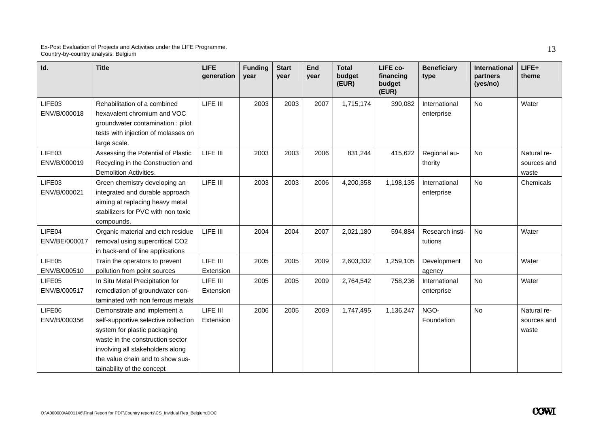| Id.                     | <b>Title</b>                                                                                                                                                                                                                                  | <b>LIFE</b><br>generation | <b>Funding</b><br>year | <b>Start</b><br>year | End<br>year | <b>Total</b><br>budget<br>(EUR) | LIFE co-<br>financing<br>budget<br>(EUR) | <b>Beneficiary</b><br>type  | <b>International</b><br>partners<br>(yes/no) | LIFE+<br>theme                      |
|-------------------------|-----------------------------------------------------------------------------------------------------------------------------------------------------------------------------------------------------------------------------------------------|---------------------------|------------------------|----------------------|-------------|---------------------------------|------------------------------------------|-----------------------------|----------------------------------------------|-------------------------------------|
| LIFE03<br>ENV/B/000018  | Rehabilitation of a combined<br>hexavalent chromium and VOC<br>groundwater contamination: pilot<br>tests with injection of molasses on<br>large scale.                                                                                        | LIFE III                  | 2003                   | 2003                 | 2007        | 1,715,174                       | 390,082                                  | International<br>enterprise | No                                           | Water                               |
| LIFE03<br>ENV/B/000019  | Assessing the Potential of Plastic<br>Recycling in the Construction and<br>Demolition Activities.                                                                                                                                             | LIFE III                  | 2003                   | 2003                 | 2006        | 831,244                         | 415,622                                  | Regional au-<br>thority     | No                                           | Natural re-<br>sources and<br>waste |
| LIFE03<br>ENV/B/000021  | Green chemistry developing an<br>integrated and durable approach<br>aiming at replacing heavy metal<br>stabilizers for PVC with non toxic<br>compounds.                                                                                       | LIFE III                  | 2003                   | 2003                 | 2006        | 4,200,358                       | 1,198,135                                | International<br>enterprise | <b>No</b>                                    | Chemicals                           |
| LIFE04<br>ENV/BE/000017 | Organic material and etch residue<br>removal using supercritical CO2<br>in back-end of line applications                                                                                                                                      | LIFE III                  | 2004                   | 2004                 | 2007        | 2,021,180                       | 594,884                                  | Research insti-<br>tutions  | <b>No</b>                                    | Water                               |
| LIFE05<br>ENV/B/000510  | Train the operators to prevent<br>pollution from point sources                                                                                                                                                                                | LIFE III<br>Extension     | 2005                   | 2005                 | 2009        | 2,603,332                       | 1,259,105                                | Development<br>agency       | No                                           | Water                               |
| LIFE05<br>ENV/B/000517  | In Situ Metal Precipitation for<br>remediation of groundwater con-<br>taminated with non ferrous metals                                                                                                                                       | LIFE III<br>Extension     | 2005                   | 2005                 | 2009        | 2,764,542                       | 758,236                                  | International<br>enterprise | <b>No</b>                                    | Water                               |
| LIFE06<br>ENV/B/000356  | Demonstrate and implement a<br>self-supportive selective collection<br>system for plastic packaging<br>waste in the construction sector<br>involving all stakeholders along<br>the value chain and to show sus-<br>tainability of the concept | LIFE III<br>Extension     | 2006                   | 2005                 | 2009        | 1,747,495                       | 1,136,247                                | NGO-<br>Foundation          | <b>No</b>                                    | Natural re-<br>sources and<br>waste |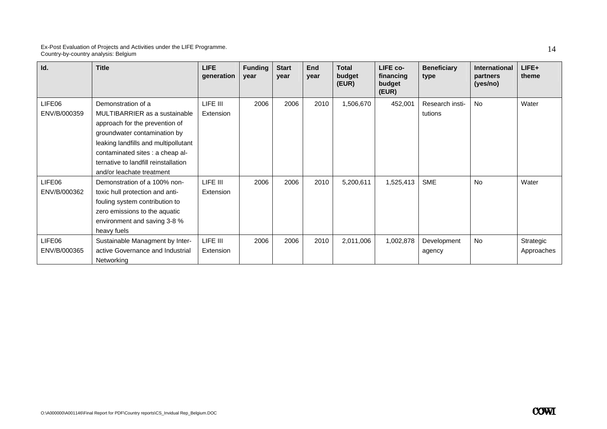| Id.          | <b>Title</b>                         | LIFE.<br>generation | <b>Funding</b><br>year | <b>Start</b><br>year | End<br>year | <b>Total</b><br>budget<br>(EUR) | LIFE co-<br>financing<br>budget<br>(EUR) | <b>Beneficiary</b><br>type | <b>International</b><br>partners<br>(yes/no) | LIFE+<br>theme |
|--------------|--------------------------------------|---------------------|------------------------|----------------------|-------------|---------------------------------|------------------------------------------|----------------------------|----------------------------------------------|----------------|
| LIFE06       | Demonstration of a                   | LIFE III            | 2006                   | 2006                 | 2010        | 1,506,670                       | 452,001                                  | Research insti-            | <b>No</b>                                    | Water          |
| ENV/B/000359 | MULTIBARRIER as a sustainable        | Extension           |                        |                      |             |                                 |                                          | tutions                    |                                              |                |
|              | approach for the prevention of       |                     |                        |                      |             |                                 |                                          |                            |                                              |                |
|              | groundwater contamination by         |                     |                        |                      |             |                                 |                                          |                            |                                              |                |
|              | leaking landfills and multipollutant |                     |                        |                      |             |                                 |                                          |                            |                                              |                |
|              | contaminated sites : a cheap al-     |                     |                        |                      |             |                                 |                                          |                            |                                              |                |
|              | ternative to landfill reinstallation |                     |                        |                      |             |                                 |                                          |                            |                                              |                |
|              | and/or leachate treatment            |                     |                        |                      |             |                                 |                                          |                            |                                              |                |
| LIFE06       | Demonstration of a 100% non-         | LIFE III            | 2006                   | 2006                 | 2010        | 5,200,611                       | 1,525,413                                | <b>SME</b>                 | <b>No</b>                                    | Water          |
| ENV/B/000362 | toxic hull protection and anti-      | Extension           |                        |                      |             |                                 |                                          |                            |                                              |                |
|              | fouling system contribution to       |                     |                        |                      |             |                                 |                                          |                            |                                              |                |
|              | zero emissions to the aquatic        |                     |                        |                      |             |                                 |                                          |                            |                                              |                |
|              | environment and saving 3-8 %         |                     |                        |                      |             |                                 |                                          |                            |                                              |                |
|              | heavy fuels                          |                     |                        |                      |             |                                 |                                          |                            |                                              |                |
| LIFE06       | Sustainable Managment by Inter-      | LIFE III            | 2006                   | 2006                 | 2010        | 2,011,006                       | 1,002,878                                | Development                | <b>No</b>                                    | Strategic      |
| ENV/B/000365 | active Governance and Industrial     | Extension           |                        |                      |             |                                 |                                          | agency                     |                                              | Approaches     |
|              | Networking                           |                     |                        |                      |             |                                 |                                          |                            |                                              |                |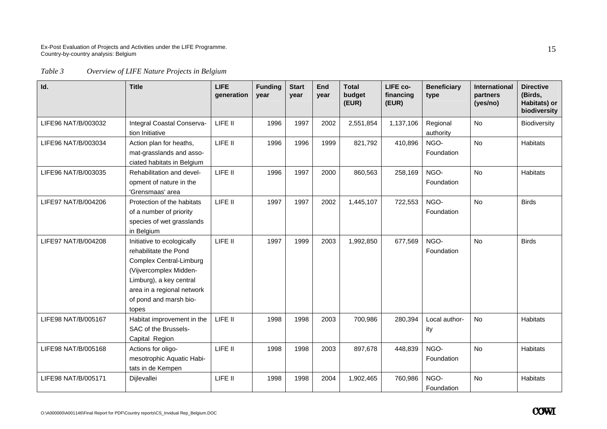### *Table 3 Overview of LIFE Nature Projects in Belgium*

| Id.                 | <b>Title</b>                                                                                                                                                                                                | <b>LIFE</b><br>generation | <b>Funding</b><br>year | <b>Start</b><br>vear | End<br>year | <b>Total</b><br>budget<br>(EUR) | LIFE co-<br>financing<br>(EUR) | <b>Beneficiary</b><br>type | <b>International</b><br>partners<br>(yes/no) | <b>Directive</b><br>(Birds,<br>Habitats) or<br>biodiversity |
|---------------------|-------------------------------------------------------------------------------------------------------------------------------------------------------------------------------------------------------------|---------------------------|------------------------|----------------------|-------------|---------------------------------|--------------------------------|----------------------------|----------------------------------------------|-------------------------------------------------------------|
| LIFE96 NAT/B/003032 | Integral Coastal Conserva-<br>tion Initiative                                                                                                                                                               | LIFE II                   | 1996                   | 1997                 | 2002        | 2,551,854                       | 1,137,106                      | Regional<br>authority      | <b>No</b>                                    | Biodiversity                                                |
| LIFE96 NAT/B/003034 | Action plan for heaths,<br>mat-grasslands and asso-<br>ciated habitats in Belgium                                                                                                                           | LIFE II                   | 1996                   | 1996                 | 1999        | 821,792                         | 410,896                        | NGO-<br>Foundation         | <b>No</b>                                    | <b>Habitats</b>                                             |
| LIFE96 NAT/B/003035 | Rehabilitation and devel-<br>opment of nature in the<br>'Grensmaas' area                                                                                                                                    | LIFE II                   | 1996                   | 1997                 | 2000        | 860,563                         | 258,169                        | NGO-<br>Foundation         | <b>No</b>                                    | <b>Habitats</b>                                             |
| LIFE97 NAT/B/004206 | Protection of the habitats<br>of a number of priority<br>species of wet grasslands<br>in Belgium                                                                                                            | LIFE II                   | 1997                   | 1997                 | 2002        | 1,445,107                       | 722,553                        | NGO-<br>Foundation         | No                                           | <b>Birds</b>                                                |
| LIFE97 NAT/B/004208 | Initiative to ecologically<br>rehabilitate the Pond<br><b>Complex Central-Limburg</b><br>(Vijvercomplex Midden-<br>Limburg), a key central<br>area in a regional network<br>of pond and marsh bio-<br>topes | LIFE II                   | 1997                   | 1999                 | 2003        | 1,992,850                       | 677,569                        | NGO-<br>Foundation         | <b>No</b>                                    | <b>Birds</b>                                                |
| LIFE98 NAT/B/005167 | Habitat improvement in the<br>SAC of the Brussels-<br>Capital Region                                                                                                                                        | LIFE II                   | 1998                   | 1998                 | 2003        | 700,986                         | 280,394                        | Local author-<br>ity       | No                                           | <b>Habitats</b>                                             |
| LIFE98 NAT/B/005168 | Actions for oligo-<br>mesotrophic Aquatic Habi-<br>tats in de Kempen                                                                                                                                        | LIFE II                   | 1998                   | 1998                 | 2003        | 897,678                         | 448,839                        | NGO-<br>Foundation         | <b>No</b>                                    | <b>Habitats</b>                                             |
| LIFE98 NAT/B/005171 | Dijlevallei                                                                                                                                                                                                 | LIFE II                   | 1998                   | 1998                 | 2004        | 1,902,465                       | 760,986                        | NGO-<br>Foundation         | No                                           | <b>Habitats</b>                                             |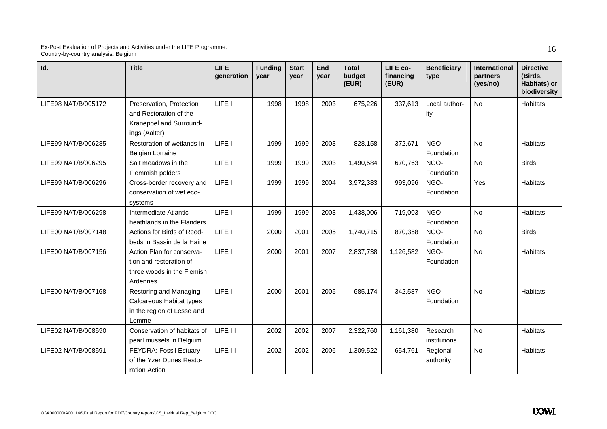| Id.                 | <b>Title</b>                                                                                   | <b>LIFE</b><br>generation | <b>Funding</b><br>year | <b>Start</b><br>year | End<br>year | <b>Total</b><br>budget<br>(EUR) | LIFE co-<br>financing<br>(EUR) | <b>Beneficiary</b><br>type | International<br>partners<br>(yes/no) | <b>Directive</b><br>(Birds,<br>Habitats) or<br>biodiversity |
|---------------------|------------------------------------------------------------------------------------------------|---------------------------|------------------------|----------------------|-------------|---------------------------------|--------------------------------|----------------------------|---------------------------------------|-------------------------------------------------------------|
| LIFE98 NAT/B/005172 | Preservation, Protection<br>and Restoration of the<br>Kranepoel and Surround-<br>ings (Aalter) | LIFE II                   | 1998                   | 1998                 | 2003        | 675,226                         | 337,613                        | Local author-<br>ity       | <b>No</b>                             | <b>Habitats</b>                                             |
| LIFE99 NAT/B/006285 | Restoration of wetlands in<br><b>Belgian Lorraine</b>                                          | LIFE II                   | 1999                   | 1999                 | 2003        | 828,158                         | 372,671                        | NGO-<br>Foundation         | <b>No</b>                             | Habitats                                                    |
| LIFE99 NAT/B/006295 | Salt meadows in the<br>Flemmish polders                                                        | LIFE II                   | 1999                   | 1999                 | 2003        | 1,490,584                       | 670,763                        | NGO-<br>Foundation         | <b>No</b>                             | <b>Birds</b>                                                |
| LIFE99 NAT/B/006296 | Cross-border recovery and<br>conservation of wet eco-<br>systems                               | LIFE II                   | 1999                   | 1999                 | 2004        | 3,972,383                       | 993,096                        | NGO-<br>Foundation         | Yes                                   | <b>Habitats</b>                                             |
| LIFE99 NAT/B/006298 | Intermediate Atlantic<br>heathlands in the Flanders                                            | LIFE II                   | 1999                   | 1999                 | 2003        | 1,438,006                       | 719,003                        | NGO-<br>Foundation         | <b>No</b>                             | Habitats                                                    |
| LIFE00 NAT/B/007148 | Actions for Birds of Reed-<br>beds in Bassin de la Haine                                       | LIFE II                   | 2000                   | 2001                 | 2005        | 1,740,715                       | 870,358                        | NGO-<br>Foundation         | <b>No</b>                             | <b>Birds</b>                                                |
| LIFE00 NAT/B/007156 | Action Plan for conserva-<br>tion and restoration of<br>three woods in the Flemish<br>Ardennes | LIFE II                   | 2000                   | 2001                 | 2007        | 2,837,738                       | 1,126,582                      | NGO-<br>Foundation         | <b>No</b>                             | Habitats                                                    |
| LIFE00 NAT/B/007168 | Restoring and Managing<br>Calcareous Habitat types<br>in the region of Lesse and<br>Lomme      | LIFE II                   | 2000                   | 2001                 | 2005        | 685,174                         | 342,587                        | NGO-<br>Foundation         | <b>No</b>                             | Habitats                                                    |
| LIFE02 NAT/B/008590 | Conservation of habitats of<br>pearl mussels in Belgium                                        | LIFE III                  | 2002                   | 2002                 | 2007        | 2,322,760                       | 1,161,380                      | Research<br>institutions   | <b>No</b>                             | <b>Habitats</b>                                             |
| LIFE02 NAT/B/008591 | FEYDRA: Fossil Estuary<br>of the Yzer Dunes Resto-<br>ration Action                            | LIFE III                  | 2002                   | 2002                 | 2006        | 1,309,522                       | 654,761                        | Regional<br>authority      | <b>No</b>                             | <b>Habitats</b>                                             |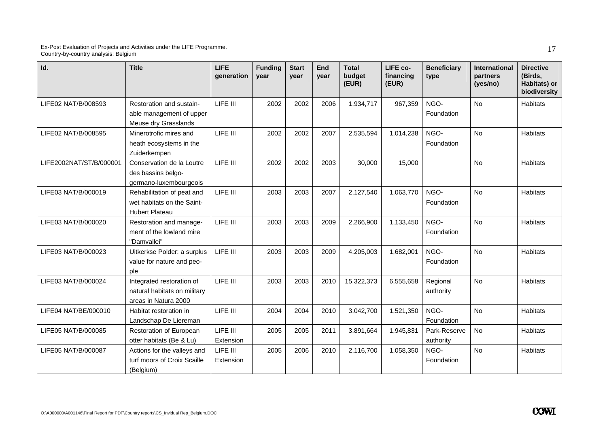| Id.                     | <b>Title</b>                                                                      | <b>LIFE</b><br>generation | <b>Funding</b><br>year | <b>Start</b><br>year | End<br>year | <b>Total</b><br>budget<br>(EUR) | LIFE co-<br>financing<br>(EUR) | <b>Beneficiary</b><br>type | <b>International</b><br>partners<br>(yes/no) | <b>Directive</b><br>(Birds,<br>Habitats) or<br>biodiversity |
|-------------------------|-----------------------------------------------------------------------------------|---------------------------|------------------------|----------------------|-------------|---------------------------------|--------------------------------|----------------------------|----------------------------------------------|-------------------------------------------------------------|
| LIFE02 NAT/B/008593     | Restoration and sustain-<br>able management of upper<br>Meuse dry Grasslands      | LIFE III                  | 2002                   | 2002                 | 2006        | 1,934,717                       | 967,359                        | NGO-<br>Foundation         | <b>No</b>                                    | <b>Habitats</b>                                             |
| LIFE02 NAT/B/008595     | Minerotrofic mires and<br>heath ecosystems in the<br>Zuiderkempen                 | LIFE III                  | 2002                   | 2002                 | 2007        | 2,535,594                       | 1,014,238                      | NGO-<br>Foundation         | <b>No</b>                                    | <b>Habitats</b>                                             |
| LIFE2002NAT/ST/B/000001 | Conservation de la Loutre<br>des bassins belgo-<br>germano-luxembourgeois         | LIFE III                  | 2002                   | 2002                 | 2003        | 30,000                          | 15,000                         |                            | <b>No</b>                                    | <b>Habitats</b>                                             |
| LIFE03 NAT/B/000019     | Rehabilitation of peat and<br>wet habitats on the Saint-<br><b>Hubert Plateau</b> | LIFE III                  | 2003                   | 2003                 | 2007        | 2,127,540                       | 1,063,770                      | NGO-<br>Foundation         | <b>No</b>                                    | Habitats                                                    |
| LIFE03 NAT/B/000020     | Restoration and manage-<br>ment of the lowland mire<br>"Damvallei"                | LIFE III                  | 2003                   | 2003                 | 2009        | 2,266,900                       | 1,133,450                      | NGO-<br>Foundation         | <b>No</b>                                    | Habitats                                                    |
| LIFE03 NAT/B/000023     | Uitkerkse Polder: a surplus<br>value for nature and peo-<br>ple                   | LIFE III                  | 2003                   | 2003                 | 2009        | 4,205,003                       | 1,682,001                      | NGO-<br>Foundation         | <b>No</b>                                    | <b>Habitats</b>                                             |
| LIFE03 NAT/B/000024     | Integrated restoration of<br>natural habitats on military<br>areas in Natura 2000 | LIFE III                  | 2003                   | 2003                 | 2010        | 15,322,373                      | 6,555,658                      | Regional<br>authority      | <b>No</b>                                    | <b>Habitats</b>                                             |
| LIFE04 NAT/BE/000010    | Habitat restoration in<br>Landschap De Liereman                                   | LIFE III                  | 2004                   | 2004                 | 2010        | 3,042,700                       | 1,521,350                      | NGO-<br>Foundation         | <b>No</b>                                    | <b>Habitats</b>                                             |
| LIFE05 NAT/B/000085     | Restoration of European<br>otter habitats (Be & Lu)                               | LIFE III<br>Extension     | 2005                   | 2005                 | 2011        | 3,891,664                       | 1,945,831                      | Park-Reserve<br>authority  | <b>No</b>                                    | <b>Habitats</b>                                             |
| LIFE05 NAT/B/000087     | Actions for the valleys and<br>turf moors of Croix Scaille<br>(Belgium)           | LIFE III<br>Extension     | 2005                   | 2006                 | 2010        | 2,116,700                       | 1,058,350                      | NGO-<br>Foundation         | No                                           | <b>Habitats</b>                                             |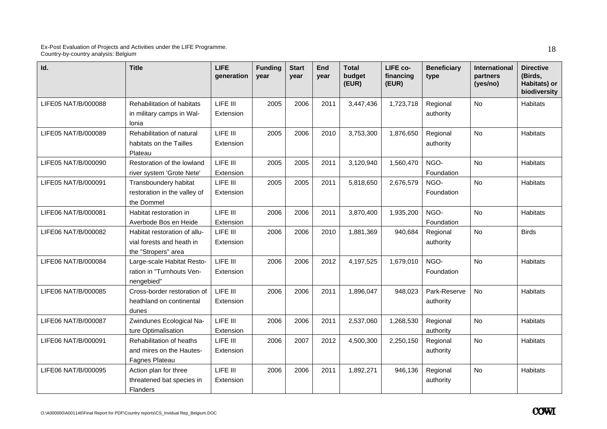| Id.                 | <b>Title</b>                                                                     | <b>LIFE</b><br>generation | <b>Funding</b><br>year | <b>Start</b><br>year | End<br>year | <b>Total</b><br>budget<br>(EUR) | LIFE co-<br>financing<br>(EUR) | <b>Beneficiary</b><br>type | International<br>partners<br>(yes/no) | <b>Directive</b><br>(Birds,<br>Habitats) or<br>biodiversity |
|---------------------|----------------------------------------------------------------------------------|---------------------------|------------------------|----------------------|-------------|---------------------------------|--------------------------------|----------------------------|---------------------------------------|-------------------------------------------------------------|
| LIFE05 NAT/B/000088 | Rehabilitation of habitats<br>in military camps in Wal-<br>Ionia                 | LIFE III<br>Extension     | 2005                   | 2006                 | 2011        | 3,447,436                       | 1,723,718                      | Regional<br>authority      | <b>No</b>                             | Habitats                                                    |
| LIFE05 NAT/B/000089 | Rehabilitation of natural<br>habitats on the Tailles<br>Plateau                  | LIFE III<br>Extension     | 2005                   | 2006                 | 2010        | 3,753,300                       | 1,876,650                      | Regional<br>authority      | <b>No</b>                             | <b>Habitats</b>                                             |
| LIFE05 NAT/B/000090 | Restoration of the lowland<br>river system 'Grote Nete'                          | LIFE III<br>Extension     | 2005                   | 2005                 | 2011        | 3,120,940                       | 1,560,470                      | NGO-<br>Foundation         | <b>No</b>                             | Habitats                                                    |
| LIFE05 NAT/B/000091 | Transboundery habitat<br>restoration in the valley of<br>the Dommel              | LIFE III<br>Extension     | 2005                   | 2005                 | 2011        | 5,818,650                       | 2,676,579                      | NGO-<br>Foundation         | <b>No</b>                             | Habitats                                                    |
| LIFE06 NAT/B/000081 | Habitat restoration in<br>Averbode Bos en Heide                                  | LIFE III<br>Extension     | 2006                   | 2006                 | 2011        | 3,870,400                       | 1,935,200                      | NGO-<br>Foundation         | <b>No</b>                             | Habitats                                                    |
| LIFE06 NAT/B/000082 | Habitat restoration of allu-<br>vial forests and heath in<br>the "Stropers" area | LIFE III<br>Extension     | 2006                   | 2006                 | 2010        | 1,881,369                       | 940,684                        | Regional<br>authority      | <b>No</b>                             | <b>Birds</b>                                                |
| LIFE06 NAT/B/000084 | Large-scale Habitat Resto-<br>ration in "Turnhouts Ven-<br>nengebied"            | LIFE III<br>Extension     | 2006                   | 2006                 | 2012        | 4,197,525                       | 1,679,010                      | NGO-<br>Foundation         | <b>No</b>                             | Habitats                                                    |
| LIFE06 NAT/B/000085 | Cross-border restoration of<br>heathland on continental<br>dunes                 | LIFE III<br>Extension     | 2006                   | 2006                 | 2011        | 1,896,047                       | 948,023                        | Park-Reserve<br>authority  | <b>No</b>                             | Habitats                                                    |
| LIFE06 NAT/B/000087 | Zwindunes Ecological Na-<br>ture Optimalisation                                  | LIFE III<br>Extension     | 2006                   | 2006                 | 2011        | 2,537,060                       | 1,268,530                      | Regional<br>authority      | <b>No</b>                             | Habitats                                                    |
| LIFE06 NAT/B/000091 | Rehabilitation of heaths<br>and mires on the Hautes-<br>Fagnes Plateau           | LIFE III<br>Extension     | 2006                   | 2007                 | 2012        | 4,500,300                       | 2,250,150                      | Regional<br>authority      | <b>No</b>                             | <b>Habitats</b>                                             |
| LIFE06 NAT/B/000095 | Action plan for three<br>threatened bat species in<br><b>Flanders</b>            | LIFE III<br>Extension     | 2006                   | 2006                 | 2011        | 1,892,271                       | 946,136                        | Regional<br>authority      | <b>No</b>                             | <b>Habitats</b>                                             |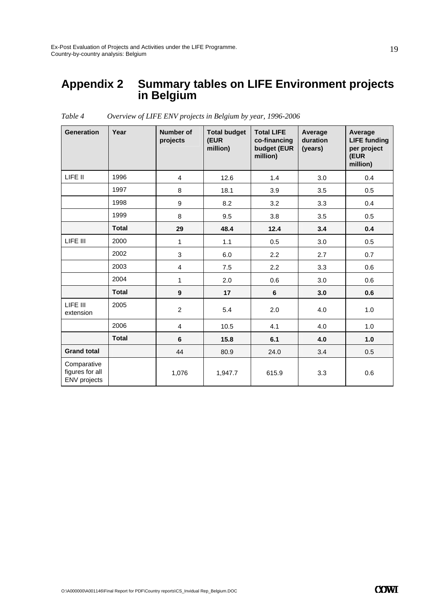### **Appendix 2 Summary tables on LIFE Environment projects in Belgium**

| <b>Generation</b>                                     | Year         | Number of<br>projects   | <b>Total budget</b><br>(EUR<br>million) | <b>Total LIFE</b><br>co-financing<br>budget (EUR<br>million) | Average<br>duration<br>(years) | Average<br><b>LIFE funding</b><br>per project<br>(EUR<br>million) |
|-------------------------------------------------------|--------------|-------------------------|-----------------------------------------|--------------------------------------------------------------|--------------------------------|-------------------------------------------------------------------|
| LIFE II                                               | 1996         | $\overline{4}$          | 12.6                                    | 1.4                                                          | 3.0                            | 0.4                                                               |
|                                                       | 1997         | 8                       | 18.1                                    | 3.9                                                          | 3.5                            | 0.5                                                               |
|                                                       | 1998         | 9                       | 8.2                                     | 3.2                                                          | 3.3                            | 0.4                                                               |
|                                                       | 1999         | 8                       | 9.5                                     | 3.8                                                          | 3.5                            | 0.5                                                               |
|                                                       | <b>Total</b> | 29                      | 48.4                                    | 12.4                                                         | 3.4                            | 0.4                                                               |
| LIFE III                                              | 2000         | $\mathbf{1}$            | 1.1                                     | 0.5                                                          | 3.0                            | 0.5                                                               |
|                                                       | 2002         | 3                       | 6.0                                     | 2.2                                                          | 2.7                            | 0.7                                                               |
|                                                       | 2003         | 4                       | 7.5                                     | 2.2                                                          | 3.3                            | 0.6                                                               |
|                                                       | 2004         | $\mathbf{1}$            | 2.0                                     | 0.6                                                          | 3.0                            | 0.6                                                               |
|                                                       | <b>Total</b> | $\boldsymbol{9}$        | 17                                      | $\bf 6$                                                      | 3.0                            | 0.6                                                               |
| LIFE III<br>extension                                 | 2005         | $\overline{2}$          | 5.4                                     | 2.0                                                          | 4.0                            | 1.0                                                               |
|                                                       | 2006         | $\overline{\mathbf{4}}$ | 10.5                                    | 4.1                                                          | 4.0                            | 1.0                                                               |
|                                                       | <b>Total</b> | 6                       | 15.8                                    | 6.1                                                          | 4.0                            | 1.0                                                               |
| <b>Grand total</b>                                    |              | 44                      | 80.9                                    | 24.0                                                         | 3.4                            | 0.5                                                               |
| Comparative<br>figures for all<br><b>ENV</b> projects |              | 1,076                   | 1,947.7                                 | 615.9                                                        | 3.3                            | 0.6                                                               |

*Table 4 Overview of LIFE ENV projects in Belgium by year, 1996-2006*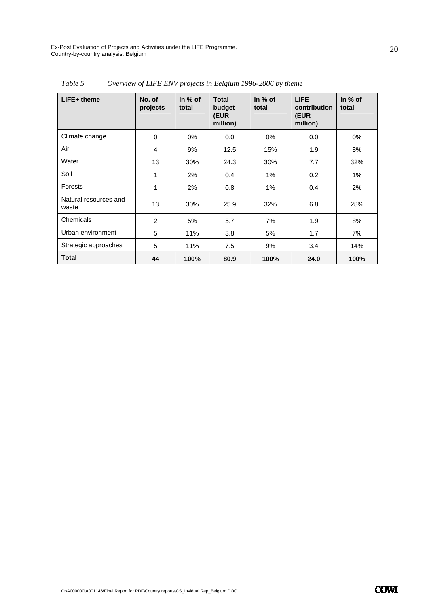| LIFE+ theme                    | No. of<br>projects | In $%$ of<br>total | <b>Total</b><br>budget<br>(EUR<br>million) | In $%$ of<br>total | <b>LIFE</b><br>contribution<br>(EUR<br>million) | In $%$ of<br>total |
|--------------------------------|--------------------|--------------------|--------------------------------------------|--------------------|-------------------------------------------------|--------------------|
| Climate change                 | 0                  | 0%                 | 0.0                                        | 0%                 | 0.0                                             | 0%                 |
| Air                            | 4                  | 9%                 | 12.5                                       | 15%                | 1.9                                             | 8%                 |
| Water                          | 13                 | 30%                | 24.3                                       | 30%                | 7.7                                             | 32%                |
| Soil                           | 1                  | 2%                 | 0.4                                        | 1%                 | 0.2                                             | 1%                 |
| Forests                        | 1                  | 2%                 | 0.8                                        | 1%                 | 0.4                                             | 2%                 |
| Natural resources and<br>waste | 13                 | 30%                | 25.9                                       | 32%                | 6.8                                             | 28%                |
| Chemicals                      | 2                  | 5%                 | 5.7                                        | 7%                 | 1.9                                             | 8%                 |
| Urban environment              | 5                  | 11%                | 3.8                                        | 5%                 | 1.7                                             | 7%                 |
| Strategic approaches           | 5                  | 11%                | 7.5                                        | 9%                 | 3.4                                             | 14%                |
| <b>Total</b>                   | 44                 | 100%               | 80.9                                       | 100%               | 24.0                                            | 100%               |

*Table 5 Overview of LIFE ENV projects in Belgium 1996-2006 by theme*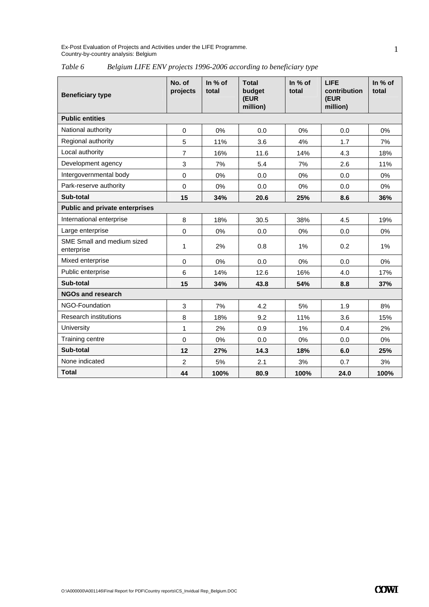*Table 6 Belgium LIFE ENV projects 1996-2006 according to beneficiary type* 

| <b>Beneficiary type</b>                  | No. of<br>projects | In % of<br>total | <b>Total</b><br>budget<br>(EUR<br>million) | In % of<br>total | <b>LIFE</b><br>contribution<br>(EUR<br>million) | In $%$ of<br>total |
|------------------------------------------|--------------------|------------------|--------------------------------------------|------------------|-------------------------------------------------|--------------------|
| <b>Public entities</b>                   |                    |                  |                                            |                  |                                                 |                    |
| National authority                       | $\mathbf 0$        | 0%               | 0.0                                        | 0%               | 0.0                                             | 0%                 |
| Regional authority                       | 5                  | 11%              | 3.6                                        | 4%               | 1.7                                             | 7%                 |
| Local authority                          | $\overline{7}$     | 16%              | 11.6                                       | 14%              | 4.3                                             | 18%                |
| Development agency                       | 3                  | 7%               | 5.4                                        | 7%               | 2.6                                             | 11%                |
| Intergovernmental body                   | $\mathbf 0$        | 0%               | 0.0                                        | 0%               | 0.0                                             | 0%                 |
| Park-reserve authority                   | $\mathbf 0$        | $0\%$            | 0.0                                        | 0%               | 0.0                                             | 0%                 |
| Sub-total                                | 15                 | 34%              | 20.6                                       | 25%              | 8.6                                             | 36%                |
| <b>Public and private enterprises</b>    |                    |                  |                                            |                  |                                                 |                    |
| International enterprise                 | 8                  | 18%              | 30.5                                       | 38%              | 4.5                                             | 19%                |
| Large enterprise                         | $\Omega$           | 0%               | 0.0                                        | 0%               | 0.0                                             | 0%                 |
| SME Small and medium sized<br>enterprise | 1                  | 2%               | 0.8                                        | 1%               | 0.2                                             | 1%                 |
| Mixed enterprise                         | $\mathbf 0$        | 0%               | 0.0                                        | 0%               | 0.0                                             | 0%                 |
| Public enterprise                        | 6                  | 14%              | 12.6                                       | 16%              | 4.0                                             | 17%                |
| Sub-total                                | 15                 | 34%              | 43.8                                       | 54%              | 8.8                                             | 37%                |
| <b>NGOs and research</b>                 |                    |                  |                                            |                  |                                                 |                    |
| NGO-Foundation                           | 3                  | 7%               | 4.2                                        | 5%               | 1.9                                             | 8%                 |
| <b>Research institutions</b>             | 8                  | 18%              | 9.2                                        | 11%              | 3.6                                             | 15%                |
| <b>University</b>                        | 1                  | 2%               | 0.9                                        | 1%               | 0.4                                             | 2%                 |
| Training centre                          | $\Omega$           | 0%               | 0.0                                        | 0%               | 0.0                                             | 0%                 |
| Sub-total                                | 12                 | 27%              | 14.3                                       | 18%              | 6.0                                             | 25%                |
| None indicated                           | $\overline{2}$     | 5%               | 2.1                                        | 3%               | 0.7                                             | 3%                 |
| <b>Total</b>                             | 44                 | 100%             | 80.9                                       | 100%             | 24.0                                            | 100%               |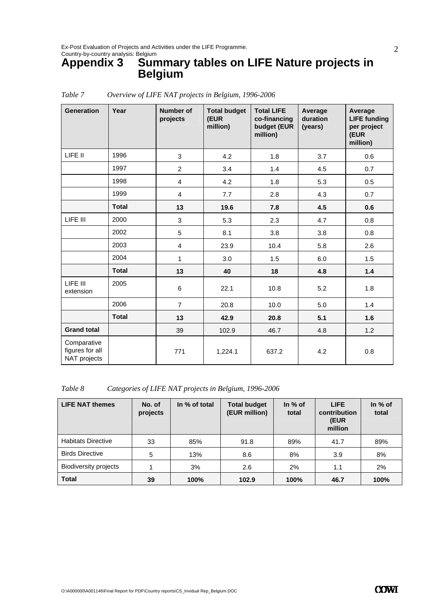### **Appendix 3 Summary tables on LIFE Nature projects in Belgium**

| <b>Generation</b>                              | Year         | <b>Number of</b><br>projects | <b>Total budget</b><br>(EUR<br>million) | <b>Total LIFE</b><br>co-financing<br>budget (EUR<br>million) | Average<br>duration<br>(years) | Average<br><b>LIFE funding</b><br>per project<br>(EUR<br>million) |
|------------------------------------------------|--------------|------------------------------|-----------------------------------------|--------------------------------------------------------------|--------------------------------|-------------------------------------------------------------------|
| LIFE II                                        | 1996         | 3                            | 4.2                                     | 1.8                                                          | 3.7                            | 0.6                                                               |
|                                                | 1997         | $\overline{2}$               | 3.4                                     | 1.4                                                          | 4.5                            | 0.7                                                               |
|                                                | 1998         | 4                            | 4.2                                     | 1.8                                                          | 5.3                            | 0.5                                                               |
|                                                | 1999         | $\overline{4}$               | 7.7                                     | 2.8                                                          | 4.3                            | 0.7                                                               |
|                                                | <b>Total</b> | 13                           | 19.6                                    | 7.8                                                          | 4.5                            | 0.6                                                               |
| LIFE III                                       | 2000         | 3                            | 5.3                                     | 2.3                                                          | 4.7                            | 0.8                                                               |
|                                                | 2002         | 5                            | 8.1                                     | 3.8                                                          | 3.8                            | 0.8                                                               |
|                                                | 2003         | $\overline{4}$               | 23.9                                    | 10.4                                                         | 5.8                            | 2.6                                                               |
|                                                | 2004         | $\mathbf{1}$                 | 3.0                                     | 1.5                                                          | 6.0                            | 1.5                                                               |
|                                                | <b>Total</b> | 13                           | 40                                      | 18                                                           | 4.8                            | 1.4                                                               |
| LIFE III<br>extension                          | 2005         | 6                            | 22.1                                    | 10.8                                                         | 5.2                            | 1.8                                                               |
|                                                | 2006         | $\overline{7}$               | 20.8                                    | 10.0                                                         | 5.0                            | 1.4                                                               |
|                                                | <b>Total</b> | 13                           | 42.9                                    | 20.8                                                         | 5.1                            | 1.6                                                               |
| <b>Grand total</b>                             |              | 39                           | 102.9                                   | 46.7                                                         | 4.8                            | 1.2                                                               |
| Comparative<br>figures for all<br>NAT projects |              | 771                          | 1,224.1                                 | 637.2                                                        | 4.2                            | 0.8                                                               |

### *Table 7 Overview of LIFE NAT projects in Belgium, 1996-2006*

*Table 8 Categories of LIFE NAT projects in Belgium, 1996-2006* 

| <b>LIFE NAT themes</b>       | No. of<br>projects | In % of total | <b>Total budget</b><br>(EUR million) | In $%$ of<br>total | <b>LIFE</b><br>contribution<br>(EUR<br>million | In $%$ of<br>total |
|------------------------------|--------------------|---------------|--------------------------------------|--------------------|------------------------------------------------|--------------------|
| <b>Habitats Directive</b>    | 33                 | 85%           | 91.8                                 | 89%                | 41.7                                           | 89%                |
| <b>Birds Directive</b>       | 5                  | 13%           | 8.6                                  | 8%                 | 3.9                                            | 8%                 |
| <b>Biodiversity projects</b> |                    | 3%            | 2.6                                  | 2%                 | 1.1                                            | 2%                 |
| <b>Total</b>                 | 39                 | 100%          | 102.9                                | 100%               | 46.7                                           | 100%               |